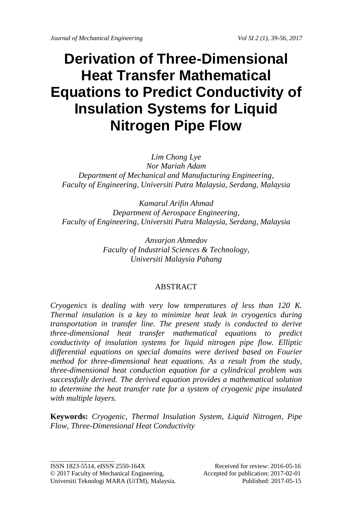# **Derivation of Three-Dimensional Heat Transfer Mathematical Equations to Predict Conductivity of Insulation Systems for Liquid Nitrogen Pipe Flow**

*Lim Chong Lye Nor Mariah Adam Department of Mechanical and Manufacturing Engineering, Faculty of Engineering, Universiti Putra Malaysia, Serdang, Malaysia*

*Kamarul Arifin Ahmad Department of Aerospace Engineering, Faculty of Engineering, Universiti Putra Malaysia, Serdang, Malaysia*

> *Anvarjon Ahmedov Faculty of Industrial Sciences & Technology, Universiti Malaysia Pahang*

## ABSTRACT

*Cryogenics is dealing with very low temperatures of less than 120 K. Thermal insulation is a key to minimize heat leak in cryogenics during transportation in transfer line. The present study is conducted to derive three-dimensional heat transfer mathematical equations to predict conductivity of insulation systems for liquid nitrogen pipe flow. Elliptic differential equations on special domains were derived based on Fourier method for three-dimensional heat equations. As a result from the study, three-dimensional heat conduction equation for a cylindrical problem was successfully derived. The derived equation provides a mathematical solution to determine the heat transfer rate for a system of cryogenic pipe insulated with multiple layers.*

**Keywords:** *Cryogenic, Thermal Insulation System, Liquid Nitrogen, Pipe Flow, Three-Dimensional Heat Conductivity*

ISSN 1823-5514, eISSN 2550-164X Received for review: 2016-05-16 © 2017 Faculty of Mechanical Engineering, Accepted for publication: 2017-02-01 Universiti Teknologi MARA (UiTM), Malaysia. Published: 2017-05-15

\_\_\_\_\_\_\_\_\_\_\_\_\_\_\_\_\_\_\_\_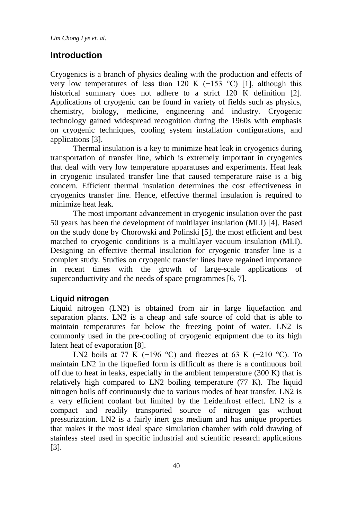## **Introduction**

Cryogenics is a branch of physics dealing with the production and effects of very low temperatures of less than 120 K (−153 °C) [1], although this historical summary does not adhere to a strict 120 K definition [2]. Applications of cryogenic can be found in variety of fields such as physics, chemistry, biology, medicine, engineering and industry. Cryogenic technology gained widespread recognition during the 1960s with emphasis on cryogenic techniques, cooling system installation configurations, and applications [3].

Thermal insulation is a key to minimize heat leak in cryogenics during transportation of transfer line, which is extremely important in cryogenics that deal with very low temperature apparatuses and experiments. Heat leak in cryogenic insulated transfer line that caused temperature raise is a big concern. Efficient thermal insulation determines the cost effectiveness in cryogenics transfer line. Hence, effective thermal insulation is required to minimize heat leak.

The most important advancement in cryogenic insulation over the past 50 years has been the development of multilayer insulation (MLI) [4]. Based on the study done by Chorowski and Polinski [5], the most efficient and best matched to cryogenic conditions is a multilayer vacuum insulation (MLI). Designing an effective thermal insulation for cryogenic transfer line is a complex study. Studies on cryogenic transfer lines have regained importance in recent times with the growth of large-scale applications of superconductivity and the needs of space programmes [6, 7].

#### **Liquid nitrogen**

Liquid nitrogen (LN2) is obtained from air in large liquefaction and separation plants. LN2 is a cheap and safe source of cold that is able to maintain temperatures far below the freezing point of water. LN2 is commonly used in the pre-cooling of cryogenic equipment due to its high latent heat of evaporation [8].

LN2 boils at 77 K (−196 °C) and freezes at 63 K (−210 °C). To maintain LN2 in the liquefied form is difficult as there is a continuous boil off due to heat in leaks, especially in the ambient temperature (300 K) that is relatively high compared to LN2 boiling temperature (77 K). The liquid nitrogen boils off continuously due to various modes of heat transfer. LN2 is a very efficient coolant but limited by the Leidenfrost effect. LN2 is a compact and readily transported source of nitrogen gas without pressurization. LN2 is a fairly inert gas medium and has unique properties that makes it the most ideal space simulation chamber with cold drawing of stainless steel used in specific industrial and scientific research applications [3].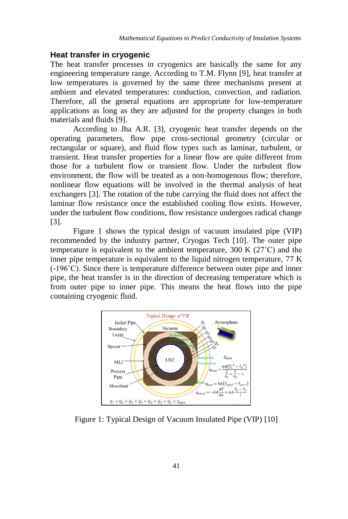### **Heat transfer in cryogenic**

The heat transfer processes in cryogenics are basically the same for any engineering temperature range. According to T.M. Flynn [9], heat transfer at low temperatures is governed by the same three mechanisms present at ambient and elevated temperatures: conduction, convection, and radiation. Therefore, all the general equations are appropriate for low-temperature applications as long as they are adjusted for the property changes in both materials and fluids [9].

According to Jha A.R. [3], cryogenic heat transfer depends on the operating parameters, flow pipe cross-sectional geometry (circular or rectangular or square), and fluid flow types such as laminar, turbulent, or transient. Heat transfer properties for a linear flow are quite different from those for a turbulent flow or transient flow. Under the turbulent flow environment, the flow will be treated as a non-homogenous flow; therefore, nonlinear flow equations will be involved in the thermal analysis of heat exchangers [3]. The rotation of the tube carrying the fluid does not affect the laminar flow resistance once the established cooling flow exists. However, under the turbulent flow conditions, flow resistance undergoes radical change [3].

Figure 1 shows the typical design of vacuum insulated pipe (VIP) recommended by the industry partner, Cryogas Tech [10]. The outer pipe temperature is equivalent to the ambient temperature, 300 K (27˚C) and the inner pipe temperature is equivalent to the liquid nitrogen temperature, 77 K (-196˚C). Since there is temperature difference between outer pipe and inner pipe, the heat transfer is in the direction of decreasing temperature which is from outer pipe to inner pipe. This means the heat flows into the pipe containing cryogenic fluid.



Figure 1: Typical Design of Vacuum Insulated Pipe (VIP) [10]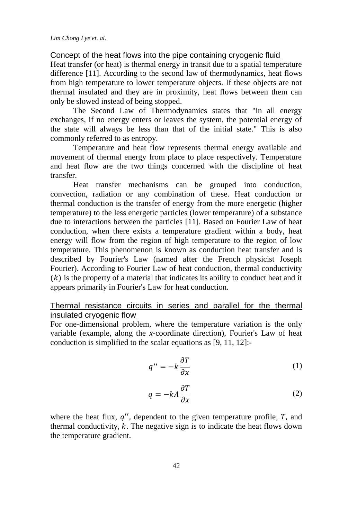Concept of the heat flows into the pipe containing cryogenic fluid

Heat transfer (or heat) is thermal energy in transit due to a spatial temperature difference [11]. According to the second law of thermodynamics, heat flows from high temperature to lower temperature objects. If these objects are not thermal insulated and they are in proximity, heat flows between them can only be slowed instead of being stopped.

The Second Law of Thermodynamics states that "in all energy exchanges, if no energy enters or leaves the system, the potential energy of the state will always be less than that of the initial state." This is also commonly referred to as entropy.

Temperature and heat flow represents thermal energy available and movement of thermal energy from place to place respectively. Temperature and heat flow are the two things concerned with the discipline of heat transfer.

Heat transfer mechanisms can be grouped into conduction, convection, radiation or any combination of these. Heat conduction or thermal conduction is the transfer of energy from the more energetic (higher temperature) to the less energetic particles (lower temperature) of a substance due to interactions between the particles [11]. Based on Fourier Law of heat conduction, when there exists a temperature gradient within a body, heat energy will flow from the region of high temperature to the region of low temperature. This phenomenon is known as conduction heat transfer and is described by Fourier's Law (named after the French physicist Joseph Fourier). According to Fourier Law of heat conduction, thermal conductivity  $(k)$  is the property of a material that indicates its ability to conduct heat and it appears primarily in Fourier's Law for heat conduction.

## Thermal resistance circuits in series and parallel for the thermal insulated cryogenic flow

For one-dimensional problem, where the temperature variation is the only variable (example, along the *x*-coordinate direction), Fourier's Law of heat conduction is simplified to the scalar equations as [9, 11, 12]:-

$$
q'' = -k \frac{\partial T}{\partial x} \tag{1}
$$

$$
q = -kA \frac{\partial T}{\partial x} \tag{2}
$$

where the heat flux,  $q''$ , dependent to the given temperature profile,  $T$ , and thermal conductivity,  $k$ . The negative sign is to indicate the heat flows down the temperature gradient.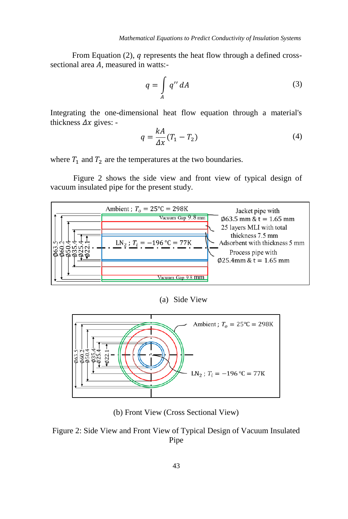From Equation  $(2)$ ,  $q$  represents the heat flow through a defined crosssectional area  $A$ , measured in watts:-

$$
q = \int\limits_A q'' dA \tag{3}
$$

Integrating the one-dimensional heat flow equation through a material's thickness  $\Delta x$  gives: -

$$
q = \frac{kA}{\Delta x}(T_1 - T_2) \tag{4}
$$

where  $T_1$  and  $T_2$  are the temperatures at the two boundaries.

Figure 2 shows the side view and front view of typical design of vacuum insulated pipe for the present study.



(a) Side View



(b) Front View (Cross Sectional View)

Figure 2: Side View and Front View of Typical Design of Vacuum Insulated Pipe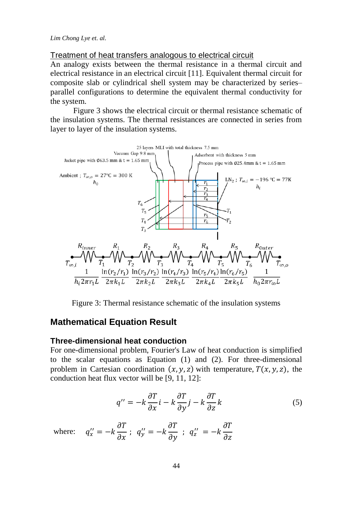Treatment of heat transfers analogous to electrical circuit

An analogy exists between the thermal resistance in a thermal circuit and electrical resistance in an electrical circuit [11]. Equivalent thermal circuit for composite slab or cylindrical shell system may be characterized by series– parallel configurations to determine the equivalent thermal conductivity for the system.

Figure 3 shows the electrical circuit or thermal resistance schematic of the insulation systems. The thermal resistances are connected in series from layer to layer of the insulation systems.



Figure 3: Thermal resistance schematic of the insulation systems

# **Mathematical Equation Result**

#### **Three-dimensional heat conduction**

For one-dimensional problem, Fourier's Law of heat conduction is simplified to the scalar equations as Equation (1) and (2). For three-dimensional problem in Cartesian coordination  $(x, y, z)$  with temperature,  $T(x, y, z)$ , the conduction heat flux vector will be [9, 11, 12]:

$$
q'' = -k\frac{\partial T}{\partial x}\dot{i} - k\frac{\partial T}{\partial y}\dot{j} - k\frac{\partial T}{\partial z}k\tag{5}
$$

where: 
$$
q''_x = -k \frac{\partial T}{\partial x}
$$
;  $q''_y = -k \frac{\partial T}{\partial y}$ ;  $q''_z = -k \frac{\partial T}{\partial z}$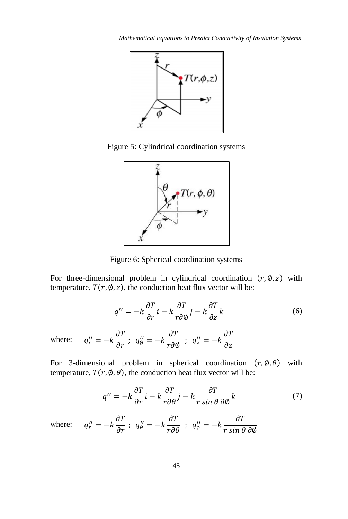

Figure 5: Cylindrical coordination systems



Figure 6: Spherical coordination systems

For three-dimensional problem in cylindrical coordination  $(r, \emptyset, z)$  with temperature,  $T(r, \emptyset, z)$ , the conduction heat flux vector will be:

$$
q'' = -k\frac{\partial T}{\partial r}\mathbf{i} - k\frac{\partial T}{r\partial \phi}\mathbf{j} - k\frac{\partial T}{\partial z}k\tag{6}
$$

where:  $\sigma_r'' = -k \frac{\partial T}{\partial r}$ ;  $q_\phi'' = -k \frac{\partial T}{r \partial q}$  $\frac{\partial T}{\partial \phi}$  ;  $q_z'' = -k \frac{\partial T}{\partial z}$  $\partial z$ 

For 3-dimensional problem in spherical coordination  $(r, \emptyset, \theta)$  with temperature,  $T(r, \emptyset, \theta)$ , the conduction heat flux vector will be:

$$
q'' = -k\frac{\partial T}{\partial r}\dot{i} - k\frac{\partial T}{r\partial \theta}\dot{j} - k\frac{\partial T}{r\sin\theta\,\partial\phi}k\tag{7}
$$

where:  $q''_r = -k \frac{\partial T}{\partial r}$ ;  $q''_\theta = -k \frac{\partial T}{r \partial \theta}$ ;  $q''_\phi = -k \frac{\partial T}{r \sin \theta}$ r sin θ дØ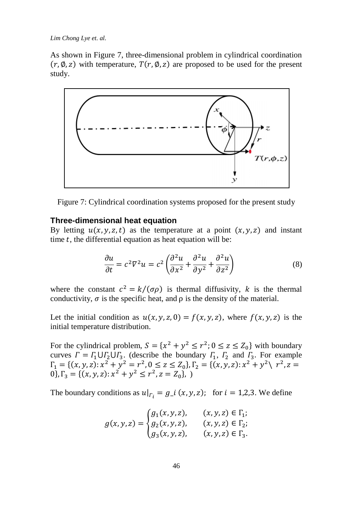As shown in Figure 7, three-dimensional problem in cylindrical coordination  $(r, \emptyset, z)$  with temperature,  $T(r, \emptyset, z)$  are proposed to be used for the present study.



Figure 7: Cylindrical coordination systems proposed for the present study

#### **Three-dimensional heat equation**

By letting  $u(x, y, z, t)$  as the temperature at a point  $(x, y, z)$  and instant time  $t$ , the differential equation as heat equation will be:

$$
\frac{\partial u}{\partial t} = c^2 \nabla^2 u = c^2 \left( \frac{\partial^2 u}{\partial x^2} + \frac{\partial^2 u}{\partial y^2} + \frac{\partial^2 u}{\partial z^2} \right)
$$
(8)

where the constant  $c^2 = k/(\sigma \rho)$  is thermal diffusivity, k is the thermal conductivity,  $\sigma$  is the specific heat, and  $\rho$  is the density of the material.

Let the initial condition as  $u(x, y, z, 0) = f(x, y, z)$ , where  $f(x, y, z)$  is the initial temperature distribution.

For the cylindrical problem,  $S = \{x^2 + y^2 \le r^2 : 0 \le z \le Z_0\}$  with boundary curves  $\Gamma = \Gamma_1 \cup \Gamma_2 \cup \Gamma_3$ . (describe the boundary  $\Gamma_1$ ,  $\Gamma_2$  and  $\Gamma_3$ . For example  $\Gamma_1 = \{ (x, y, z) : x^2 + y^2 = r^2, 0 \le z \le Z_0 \}, \Gamma_2 = \{ (x, y, z) : x^2 + y^2 \} \quad r^2, z =$ 0},  $\Gamma_3 = \{ (x, y, z) : x^2 + y^2 \le r^2, z = Z_0 \},$ 

The boundary conditions as  $u|_{r_i} = g_i(x, y, z)$ ; for  $i = 1, 2, 3$ . We define

$$
g(x, y, z) = \begin{cases} g_1(x, y, z), & (x, y, z) \in \Gamma_1; \\ g_2(x, y, z), & (x, y, z) \in \Gamma_2; \\ g_3(x, y, z), & (x, y, z) \in \Gamma_3. \end{cases}
$$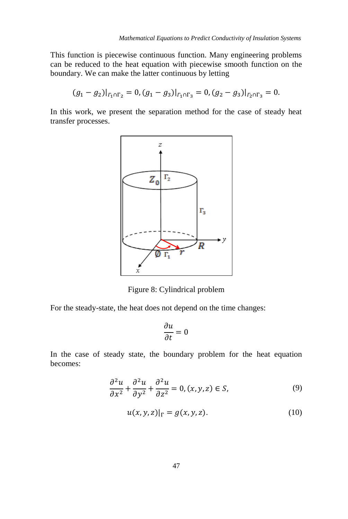This function is piecewise continuous function. Many engineering problems can be reduced to the heat equation with piecewise smooth function on the boundary. We can make the latter continuous by letting

$$
(g_1 - g_2)|_{\Gamma_1 \cap \Gamma_2} = 0, (g_1 - g_3)|_{\Gamma_1 \cap \Gamma_3} = 0, (g_2 - g_3)|_{\Gamma_2 \cap \Gamma_3} = 0.
$$

In this work, we present the separation method for the case of steady heat transfer processes.



Figure 8: Cylindrical problem

For the steady-state, the heat does not depend on the time changes:

$$
\frac{\partial u}{\partial t} = 0
$$

In the case of steady state, the boundary problem for the heat equation becomes:

$$
\frac{\partial^2 u}{\partial x^2} + \frac{\partial^2 u}{\partial y^2} + \frac{\partial^2 u}{\partial z^2} = 0, (x, y, z) \in S,
$$
\n(9)

$$
u(x, y, z)|_{\Gamma} = g(x, y, z).
$$
 (10)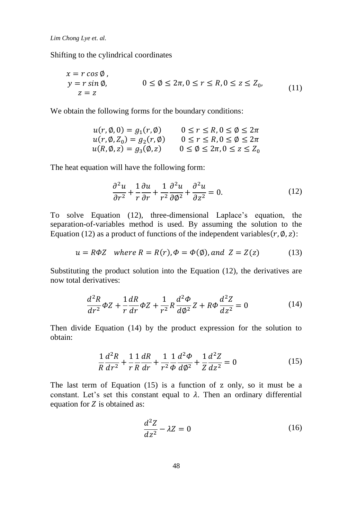Shifting to the cylindrical coordinates

$$
x = r \cos \emptyset,
$$
  
\n
$$
y = r \sin \emptyset,
$$
  
\n
$$
0 \le \emptyset \le 2\pi, 0 \le r \le R, 0 \le z \le Z_0,
$$
  
\n
$$
z = z
$$
\n(11)

We obtain the following forms for the boundary conditions:

$$
u(r, \emptyset, 0) = g_1(r, \emptyset) \qquad 0 \le r \le R, 0 \le \emptyset \le 2\pi
$$
  

$$
u(r, \emptyset, Z_0) = g_2(r, \emptyset) \qquad 0 \le r \le R, 0 \le \emptyset \le 2\pi
$$
  

$$
u(R, \emptyset, z) = g_3(\emptyset, z) \qquad 0 \le \emptyset \le 2\pi, 0 \le z \le Z_0
$$

The heat equation will have the following form:

$$
\frac{\partial^2 u}{\partial r^2} + \frac{1}{r} \frac{\partial u}{\partial r} + \frac{1}{r^2} \frac{\partial^2 u}{\partial \phi^2} + \frac{\partial^2 u}{\partial z^2} = 0.
$$
 (12)

To solve Equation (12), three-dimensional Laplace's equation, the separation-of-variables method is used. By assuming the solution to the Equation (12) as a product of functions of the independent variables( $r$ ,  $\varnothing$ ,  $z$ ):

$$
u = R\Phi Z \quad where \ R = R(r), \Phi = \Phi(\emptyset), and \ Z = Z(z) \tag{13}
$$

Substituting the product solution into the Equation (12), the derivatives are now total derivatives:

$$
\frac{d^2R}{dr^2}\Phi Z + \frac{1}{r}\frac{dR}{dr}\Phi Z + \frac{1}{r^2}R\frac{d^2\Phi}{d\phi^2}Z + R\Phi\frac{d^2Z}{dz^2} = 0
$$
\n(14)

Then divide Equation (14) by the product expression for the solution to obtain:

$$
\frac{1}{R}\frac{d^2R}{dr^2} + \frac{1}{r}\frac{1}{R}\frac{dR}{dr} + \frac{1}{r^2}\frac{1}{\phi}\frac{d^2\phi}{d\phi^2} + \frac{1}{Z}\frac{d^2Z}{dz^2} = 0
$$
\n(15)

The last term of Equation (15) is a function of z only, so it must be a constant. Let's set this constant equal to  $\lambda$ . Then an ordinary differential equation for  $Z$  is obtained as:

$$
\frac{d^2Z}{dz^2} - \lambda Z = 0\tag{16}
$$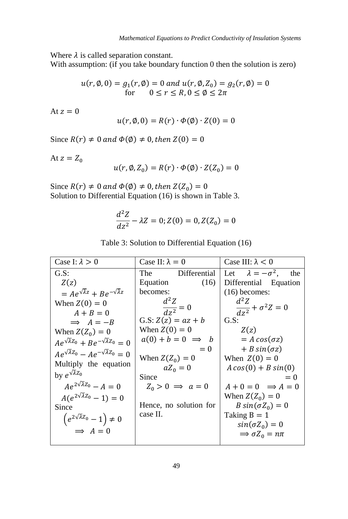Where  $\lambda$  is called separation constant.

With assumption: (if you take boundary function 0 then the solution is zero)

$$
u(r, \emptyset, 0) = g_1(r, \emptyset) = 0 \text{ and } u(r, \emptyset, Z_0) = g_2(r, \emptyset) = 0
$$
  
for  $0 \le r \le R, 0 \le \emptyset \le 2\pi$ 

At  $z=0$ 

$$
u(r, \emptyset, 0) = R(r) \cdot \Phi(\emptyset) \cdot Z(0) = 0
$$

Since  $R(r) \neq 0$  and  $\Phi(\emptyset) \neq 0$ , then  $Z(0) = 0$ 

At  $z = Z_0$ 

$$
u(r, \emptyset, Z_0) = R(r) \cdot \Phi(\emptyset) \cdot Z(Z_0) = 0
$$

Since  $R(r) \neq 0$  and  $\Phi(\emptyset) \neq 0$ , then  $Z(Z_0) = 0$ Solution to Differential Equation (16) is shown in Table 3.

$$
\frac{d^2Z}{dz^2} - \lambda Z = 0; Z(0) = 0, Z(Z_0) = 0
$$

| Case I: $\lambda > 0$                                  | Case II: $\lambda = 0$    | Case III: $\lambda$ < 0            |
|--------------------------------------------------------|---------------------------|------------------------------------|
| G.S:                                                   | Differential<br>The       | Let $\lambda = -\sigma^2$ ,<br>the |
| Z(z)                                                   | Equation<br>(16)          | Differential Equation              |
| $= Ae^{\sqrt{\lambda}z} + Be^{-\sqrt{\lambda}z}$       | becomes:                  | $(16)$ becomes:                    |
| When $Z(0) = 0$                                        | $d^2Z$                    | $d^2Z$                             |
| $A + B = 0$                                            | $\frac{1}{d z^2} = 0$     | $\frac{1}{dz^2} + \sigma^2 Z = 0$  |
| $\implies$ $A = -B$                                    | G.S: $Z(z) = az + b$      | G.S:                               |
| When $Z(Z_0) = 0$                                      | When $Z(0) = 0$           | Z(z)                               |
| $Ae^{\sqrt{\lambda}Z_0} + Be^{-\sqrt{\lambda}Z_0} = 0$ | $a(0) + b = 0 \implies b$ | $= A \cos(\sigma z)$               |
| $Ae^{\sqrt{\lambda}Z_0} - Ae^{-\sqrt{\lambda}Z_0} = 0$ | $= 0$                     | $+ B sin(\sigma z)$                |
| Multiply the equation                                  | When $Z(Z_0) = 0$         | When $Z(0) = 0$                    |
| by $e^{\sqrt{\lambda}Z_0}$                             | $aZ_0=0$                  | $A\cos(0) + B\sin(0)$              |
|                                                        | Since                     | $= 0$                              |
| $Ae^{2\sqrt{\lambda}Z_0}-A=0$                          | $Z_0 > 0 \implies a = 0$  | $A + 0 = 0 \implies A = 0$         |
| $A(e^{2\sqrt{\lambda}Z_0}-1)=0$                        |                           | When $Z(Z_0) = 0$                  |
| Since                                                  | Hence, no solution for    | B $sin(\sigma Z_0) = 0$            |
| $\left(e^{2\sqrt{\lambda}Z_0}-1\right)\neq 0$          | case II.                  | Taking $B = 1$                     |
| $\implies A = 0$                                       |                           | $sin(\sigma Z_0) = 0$              |
|                                                        |                           | $\Rightarrow \sigma Z_0 = n\pi$    |
|                                                        |                           |                                    |

| Table 3: Solution to Differential Equation (16) |  |  |  |
|-------------------------------------------------|--|--|--|
|-------------------------------------------------|--|--|--|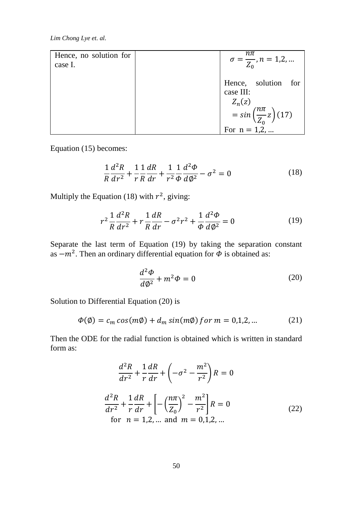| Hence, no solution for<br>case I. | $\sigma = \frac{n\pi}{Z_0}, n = 1, 2, $                                                                        |
|-----------------------------------|----------------------------------------------------------------------------------------------------------------|
|                                   | Hence, solution for<br>case III:<br>$Z_n(z)$<br>$=\sin\left(\frac{n\pi}{Z_0}z\right)$ (17)<br>For $n = 1, 2, $ |

Equation (15) becomes:

$$
\frac{1}{R}\frac{d^2R}{dr^2} + \frac{1}{r}\frac{1}{R}\frac{dR}{dr} + \frac{1}{r^2}\frac{1}{\phi}\frac{d^2\phi}{d\phi^2} - \sigma^2 = 0
$$
\n(18)

Multiply the Equation (18) with  $r^2$ , giving:

$$
r^{2} \frac{1}{R} \frac{d^{2}R}{dr^{2}} + r \frac{1}{R} \frac{dR}{dr} - \sigma^{2}r^{2} + \frac{1}{\Phi} \frac{d^{2}\Phi}{d\phi^{2}} = 0
$$
 (19)

Separate the last term of Equation (19) by taking the separation constant as  $-m^2$ . Then an ordinary differential equation for  $\Phi$  is obtained as:

$$
\frac{d^2\Phi}{d\phi^2} + m^2\Phi = 0\tag{20}
$$

Solution to Differential Equation (20) is

$$
\Phi(\emptyset) = c_m \cos(m\emptyset) + d_m \sin(m\emptyset) \text{ for } m = 0, 1, 2, \dots \tag{21}
$$

Then the ODE for the radial function is obtained which is written in standard form as:

$$
\frac{d^2R}{dr^2} + \frac{1}{r}\frac{dR}{dr} + \left(-\sigma^2 - \frac{m^2}{r^2}\right)R = 0
$$
  

$$
\frac{d^2R}{dr^2} + \frac{1}{r}\frac{dR}{dr} + \left[-\left(\frac{n\pi}{Z_0}\right)^2 - \frac{m^2}{r^2}\right]R = 0
$$
  
for  $n = 1, 2, ...$  and  $m = 0, 1, 2, ...$  (22)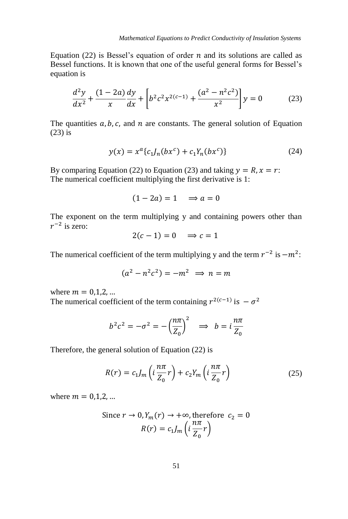Equation (22) is Bessel's equation of order  $n$  and its solutions are called as Bessel functions. It is known that one of the useful general forms for Bessel's equation is

$$
\frac{d^2y}{dx^2} + \frac{(1-2a)}{x}\frac{dy}{dx} + \left[b^2c^2x^{2(c-1)} + \frac{(a^2 - n^2c^2)}{x^2}\right]y = 0
$$
 (23)

The quantities  $a, b, c$ , and  $n$  are constants. The general solution of Equation (23) is

$$
y(x) = x^{a} \{c_{1}J_{n}(bx^{c}) + c_{1}Y_{n}(bx^{c})\}
$$
 (24)

By comparing Equation (22) to Equation (23) and taking  $y = R$ ,  $x = r$ . The numerical coefficient multiplying the first derivative is 1:

$$
(1-2a) = 1 \quad \Rightarrow a = 0
$$

The exponent on the term multiplying y and containing powers other than  $r^{-2}$  is zero:

$$
2(c-1) = 0 \implies c = 1
$$

The numerical coefficient of the term multiplying y and the term  $r^{-2}$  is  $-m^2$ :

$$
(a^2 - n^2c^2) = -m^2 \implies n = m
$$

where  $m = 0.1, 2, ...$ 

The numerical coefficient of the term containing  $r^{2(c-1)}$  is  $-\sigma^2$ 

$$
b^2c^2 = -\sigma^2 = -\left(\frac{n\pi}{Z_0}\right)^2 \implies b = i\frac{n\pi}{Z_0}
$$

Therefore, the general solution of Equation (22) is

$$
R(r) = c_1 J_m \left( i \frac{n \pi}{Z_0} r \right) + c_2 Y_m \left( i \frac{n \pi}{Z_0} r \right) \tag{25}
$$

where  $m = 0, 1, 2, ...$ 

Since 
$$
r \to 0
$$
,  $Y_m(r) \to +\infty$ , therefore  $c_2 = 0$   

$$
R(r) = c_1 J_m \left( i \frac{n\pi}{Z_0} r \right)
$$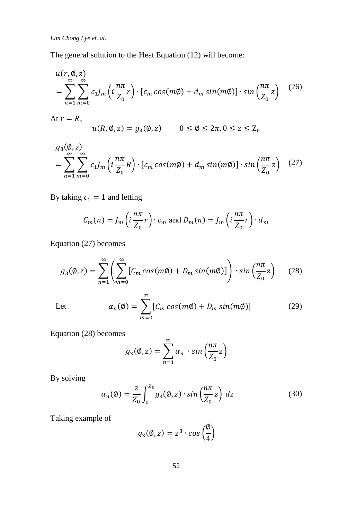The general solution to the Heat Equation (12) will become:

$$
u(r, \emptyset, z)
$$
  
= 
$$
\sum_{n=1}^{\infty} \sum_{m=0}^{\infty} c_1 J_m \left( i \frac{n\pi}{Z_0} r \right) \cdot \left[ c_m \cos(m\emptyset) + d_m \sin(m\emptyset) \right] \cdot \sin\left(\frac{n\pi}{Z_0} z\right)
$$
 (26)  
At  $r = R$ ,

$$
u(R, \emptyset, z) = g_3(\emptyset, z) \qquad 0 \le \emptyset \le 2\pi, 0 \le z \le Z_0
$$

$$
g_3(\emptyset, z) = \sum_{n=1}^{\infty} \sum_{m=0}^{\infty} c_1 J_m \left( i \frac{n\pi}{Z_0} R \right) \cdot \left[ c_m \cos(m\emptyset) + d_m \sin(m\emptyset) \right] \cdot \sin\left(\frac{n\pi}{Z_0} z\right) \tag{27}
$$

By taking  $c_1 = 1$  and letting

$$
C_m(n) = J_m\left(i\frac{n\pi}{Z_0}r\right) \cdot c_m \text{ and } D_m(n) = J_m\left(i\frac{n\pi}{Z_0}r\right) \cdot d_m
$$

Equation (27) becomes

$$
g_3(\emptyset, z) = \sum_{n=1}^{\infty} \left( \sum_{m=0}^{\infty} \left[ C_m \cos(m\emptyset) + D_m \sin(m\emptyset) \right] \right) \cdot \sin\left(\frac{n\pi}{Z_0} z\right) \tag{28}
$$

Let 
$$
\alpha_n(\emptyset) = \sum_{m=0}^{\infty} [C_m \cos(m\emptyset) + D_m \sin(m\emptyset)] \qquad (29)
$$

Equation (28) becomes

$$
g_3(\emptyset, z) = \sum_{n=1}^{\infty} \alpha_n \cdot \sin\left(\frac{n\pi}{Z_0}z\right)
$$

By solving

$$
\alpha_n(\emptyset) = \frac{z}{Z_0} \int_0^{Z_0} g_3(\emptyset, z) \cdot \sin\left(\frac{n\pi}{Z_0} z\right) dz \tag{30}
$$

Taking example of

$$
g_3(\emptyset, z) = z^3 \cdot \cos\left(\frac{\emptyset}{4}\right)
$$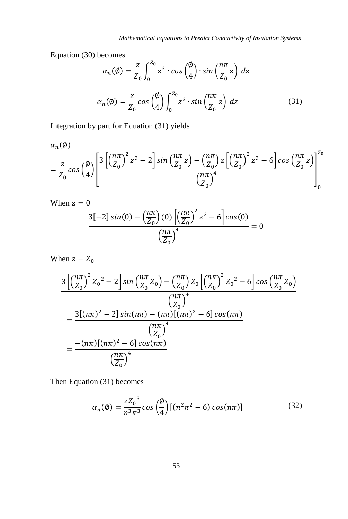Equation (30) becomes

$$
\alpha_n(\emptyset) = \frac{z}{Z_0} \int_0^{Z_0} z^3 \cdot \cos\left(\frac{\emptyset}{4}\right) \cdot \sin\left(\frac{n\pi}{Z_0}z\right) dz
$$

$$
\alpha_n(\emptyset) = \frac{z}{Z_0} \cos\left(\frac{\emptyset}{4}\right) \int_0^{Z_0} z^3 \cdot \sin\left(\frac{n\pi}{Z_0}z\right) dz
$$
(31)

Integration by part for Equation (31) yields

 $\alpha_n(\emptyset)$  $=\frac{z}{7}$  $\frac{z}{Z_0}$ cos  $\left(\frac{\emptyset}{4}\right)$  $\frac{1}{4}$ |  $3\left[\left(\frac{n\pi}{7}\right)\right]$  $\left(\frac{n\pi}{Z_0}\right)^2 z^2 - 2\right] \sin\left(\frac{n\pi}{Z_0}\right)$  $\left(\frac{n\pi}{Z_0}z\right) - \left(\frac{n\pi}{Z_0}\right)$  $\frac{n\pi}{Z_0}\Big)$  z  $\left[\left(\frac{n\pi}{Z_0}\right)$  $\left(\frac{n\pi}{Z_0}\right)^2 z^2 - 6\left[\cos\left(\frac{n\pi}{Z_0}\right)\right]$  $\frac{2}{Z_0}$ z)  $\left(\frac{n\pi}{7}\right)$  $\left[ \frac{n\pi}{Z_0} \right]^4$ 0  $z_{0}$ 

When 
$$
z = 0
$$
  
\n
$$
\frac{3[-2] \sin(0) - \left(\frac{n\pi}{Z_0}\right)(0) \left[\left(\frac{n\pi}{Z_0}\right)^2 z^2 - 6\right] \cos(0)}{\left(\frac{n\pi}{Z_0}\right)^4} = 0
$$

When  $z = Z_0$ 

$$
\frac{3\left[\left(\frac{n\pi}{Z_0}\right)^2 Z_0{}^2 - 2\right] \sin\left(\frac{n\pi}{Z_0} Z_0\right) - \left(\frac{n\pi}{Z_0}\right) Z_0 \left[\left(\frac{n\pi}{Z_0}\right)^2 Z_0{}^2 - 6\right] \cos\left(\frac{n\pi}{Z_0} Z_0\right)}{\left(\frac{n\pi}{Z_0}\right)^4}
$$
\n
$$
= \frac{3[(n\pi)^2 - 2] \sin(n\pi) - (n\pi)[(n\pi)^2 - 6] \cos(n\pi)}{\left(\frac{n\pi}{Z_0}\right)^4}
$$
\n
$$
= \frac{-(n\pi)[(n\pi)^2 - 6] \cos(n\pi)}{\left(\frac{n\pi}{Z_0}\right)^4}
$$

Then Equation (31) becomes

$$
\alpha_n(\emptyset) = \frac{z Z_0^3}{n^3 \pi^3} \cos\left(\frac{\emptyset}{4}\right) \left[ (n^2 \pi^2 - 6) \cos(n\pi) \right] \tag{32}
$$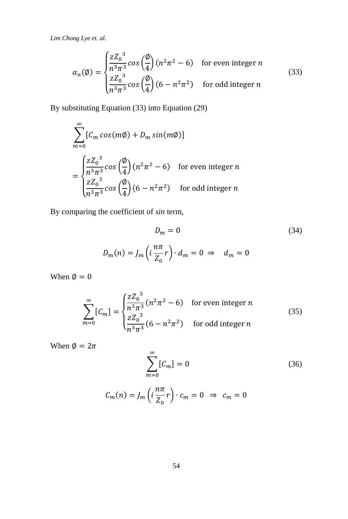$$
\alpha_n(\emptyset) = \begin{cases} \frac{zZ_0^3}{n^3\pi^3} \cos\left(\frac{\emptyset}{4}\right) (n^2\pi^2 - 6) & \text{for even integer } n\\ \frac{zZ_0^3}{n^3\pi^3} \cos\left(\frac{\emptyset}{4}\right) (6 - n^2\pi^2) & \text{for odd integer } n \end{cases}
$$
(33)

By substituting Equation (33) into Equation (29)

$$
\sum_{m=0}^{\infty} [C_m \cos(m\emptyset) + D_m \sin(m\emptyset)]
$$
  
= 
$$
\begin{cases} \frac{zZ_0^3}{n^3\pi^3} \cos\left(\frac{\emptyset}{4}\right) (n^2\pi^2 - 6) & \text{for even integer } n \\ \frac{zZ_0^3}{n^3\pi^3} \cos\left(\frac{\emptyset}{4}\right) (6 - n^2\pi^2) & \text{for odd integer } n \end{cases}
$$

By comparing the coefficient of *sin* term,

$$
D_m = 0
$$
\n
$$
(34)
$$
\n
$$
D_m(n) = J_m \left( i \frac{n\pi}{Z_0} r \right) \cdot d_m = 0 \Rightarrow d_m = 0
$$

When  $\varnothing = 0$ 

$$
\sum_{m=0}^{\infty} [C_m] = \begin{cases} \frac{z Z_0^3}{n^3 \pi^3} (n^2 \pi^2 - 6) & \text{for even integer } n\\ \frac{z Z_0^3}{n^3 \pi^3} (6 - n^2 \pi^2) & \text{for odd integer } n \end{cases}
$$
(35)

When  $\phi = 2\pi$ 

$$
\sum_{m=0}^{\infty} [C_m] = 0 \tag{36}
$$

$$
C_m(n) = J_m\left(i\frac{n\pi}{Z_0}r\right) \cdot c_m = 0 \Rightarrow c_m = 0
$$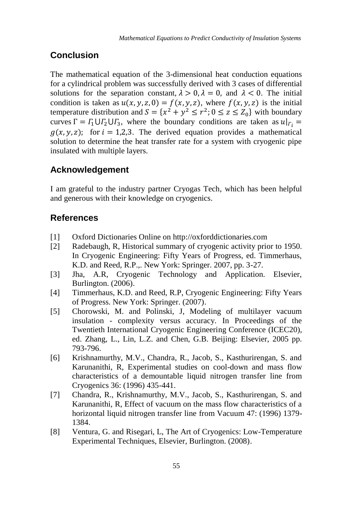# **Conclusion**

The mathematical equation of the 3-dimensional heat conduction equations for a cylindrical problem was successfully derived with 3 cases of differential solutions for the separation constant,  $\lambda > 0$ ,  $\lambda = 0$ , and  $\lambda < 0$ . The initial condition is taken as  $u(x, y, z, 0) = f(x, y, z)$ , where  $f(x, y, z)$  is the initial temperature distribution and  $S = \{x^2 + y^2 \le r^2; 0 \le z \le Z_0\}$  with boundary curves  $\Gamma = \Gamma_1 \cup \Gamma_2 \cup \Gamma_3$ , where the boundary conditions are taken as  $u|_{\Gamma_i} =$  $g(x, y, z)$ ; for  $i = 1,2,3$ . The derived equation provides a mathematical solution to determine the heat transfer rate for a system with cryogenic pipe insulated with multiple layers.

# **Acknowledgement**

I am grateful to the industry partner Cryogas Tech, which has been helpful and generous with their knowledge on cryogenics.

## **References**

- [1] Oxford Dictionaries Online on http://oxforddictionaries.com
- [2] Radebaugh, R, Historical summary of cryogenic activity prior to 1950. In Cryogenic Engineering: Fifty Years of Progress, ed. Timmerhaus, K.D. and Reed, R.P.,. New York: Springer. 2007, pp. 3-27.
- [3] Jha, A.R, Cryogenic Technology and Application. Elsevier, Burlington. (2006).
- [4] Timmerhaus, K.D. and Reed, R.P, Cryogenic Engineering: Fifty Years of Progress. New York: Springer. (2007).
- [5] Chorowski, M. and Polinski, J, Modeling of multilayer vacuum insulation - complexity versus accuracy. In Proceedings of the Twentieth International Cryogenic Engineering Conference (ICEC20), ed. Zhang, L., Lin, L.Z. and Chen, G.B. Beijing: Elsevier, 2005 pp. 793-796.
- [6] Krishnamurthy, M.V., Chandra, R., Jacob, S., Kasthurirengan, S. and Karunanithi, R, Experimental studies on cool-down and mass flow characteristics of a demountable liquid nitrogen transfer line from Cryogenics 36: (1996) 435-441.
- [7] Chandra, R., Krishnamurthy, M.V., Jacob, S., Kasthurirengan, S. and Karunanithi, R, Effect of vacuum on the mass flow characteristics of a horizontal liquid nitrogen transfer line from Vacuum 47: (1996) 1379- 1384.
- [8] Ventura, G. and Risegari, L, The Art of Cryogenics: Low-Temperature Experimental Techniques, Elsevier, Burlington. (2008).